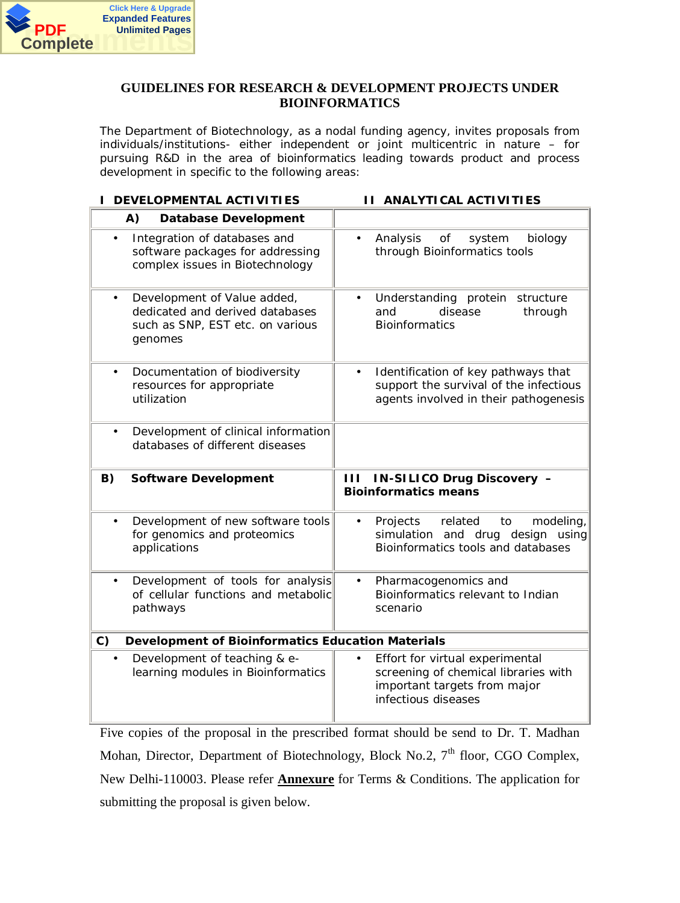

### **GUIDELINES FOR RESEARCH & DEVELOPMENT PROJECTS UNDER BIOINFORMATICS**

The Department of Biotechnology, as a nodal funding agency, invites proposals from individuals/institutions- either independent or joint multicentric in nature – for pursuing R&D in the area of bioinformatics leading towards product and process development in specific to the following areas:

**I DEVELOPMENTAL ACTIVITIES II ANALYTICAL ACTIVITIES**

| (A)<br>Database Development                                                                                                |                                                                                                                                             |
|----------------------------------------------------------------------------------------------------------------------------|---------------------------------------------------------------------------------------------------------------------------------------------|
| Integration of databases and<br>software packages for addressing<br>complex issues in Biotechnology                        | Analysis<br>of<br>biology<br>system<br>$\bullet$<br>through Bioinformatics tools                                                            |
| Development of Value added,<br>$\bullet$<br>dedicated and derived databases<br>such as SNP, EST etc. on various<br>genomes | structure<br>Understanding protein<br>$\bullet$<br>disease<br>and<br>through<br><b>Bioinformatics</b>                                       |
| Documentation of biodiversity<br>$\bullet$<br>resources for appropriate<br>utilization                                     | Identification of key pathways that<br>$\bullet$<br>support the survival of the infectious<br>agents involved in their pathogenesis         |
| Development of clinical information<br>$\bullet$<br>databases of different diseases                                        |                                                                                                                                             |
| B)<br>Software Development                                                                                                 | IN-SILICO Drug Discovery -<br>$\mathbf{1}$<br><b>Bioinformatics means</b>                                                                   |
| Development of new software tools<br>$\bullet$<br>for genomics and proteomics<br>applications                              | Projects<br>related<br>modeling,<br>to<br>$\bullet$<br>simulation and drug design using<br>Bioinformatics tools and databases               |
| Development of tools for analysis<br>$\bullet$<br>of cellular functions and metabolic<br>pathways                          | Pharmacogenomics and<br>$\bullet$<br>Bioinformatics relevant to Indian<br>scenario                                                          |
| C)<br>Development of Bioinformatics Education Materials                                                                    |                                                                                                                                             |
| Development of teaching & e-<br>$\bullet$<br>learning modules in Bioinformatics                                            | Effort for virtual experimental<br>$\bullet$<br>screening of chemical libraries with<br>important targets from major<br>infectious diseases |

Five copies of the proposal in the prescribed format should be send to Dr. T. Madhan Mohan, Director, Department of Biotechnology, Block No.2,  $7<sup>th</sup>$  floor, CGO Complex, New Delhi-110003. Please refer **Annexure** for Terms & Conditions. The application for submitting the proposal is given below.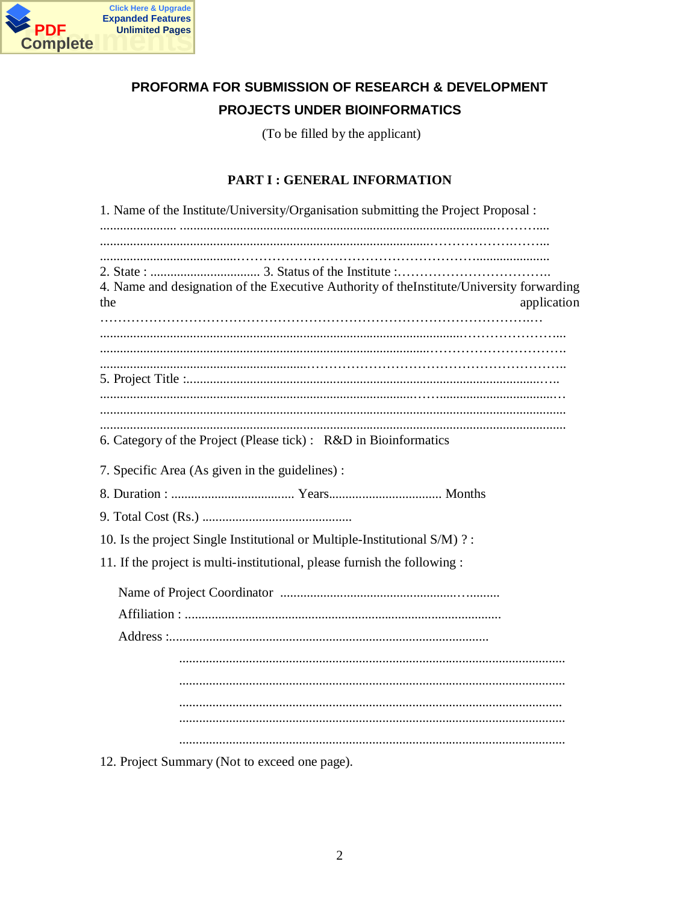

# PROFORMA FOR SUBMISSION OF RESEARCH & DEVELOPMENT PROJECTS UNDER BIOINFORMATICS

(To be filled by the applicant)

## **PART I : GENERAL INFORMATION**

| 1. Name of the Institute/University/Organisation submitting the Project Proposal :                             |
|----------------------------------------------------------------------------------------------------------------|
|                                                                                                                |
|                                                                                                                |
|                                                                                                                |
| 4. Name and designation of the Executive Authority of theInstitute/University forwarding<br>application<br>the |
|                                                                                                                |
|                                                                                                                |
|                                                                                                                |
|                                                                                                                |
|                                                                                                                |
|                                                                                                                |
| 6. Category of the Project (Please tick) : R&D in Bioinformatics                                               |
| 7. Specific Area (As given in the guidelines) :                                                                |
|                                                                                                                |
|                                                                                                                |
| 10. Is the project Single Institutional or Multiple-Institutional S/M)?:                                       |
| 11. If the project is multi-institutional, please furnish the following :                                      |
|                                                                                                                |
|                                                                                                                |
|                                                                                                                |
|                                                                                                                |
|                                                                                                                |
|                                                                                                                |
|                                                                                                                |
|                                                                                                                |

12. Project Summary (Not to exceed one page).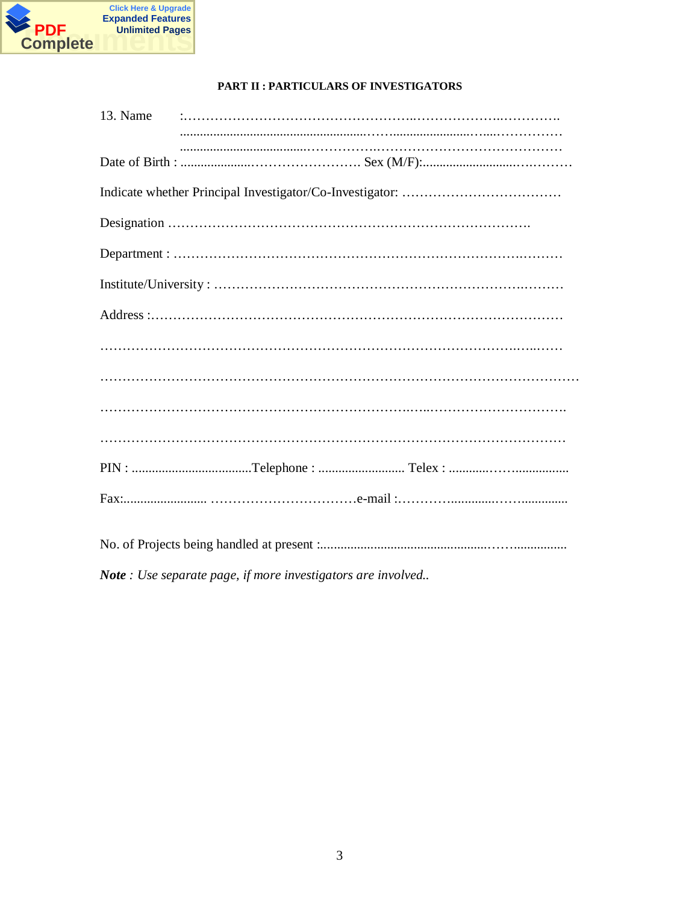

## PART II : PARTICULARS OF INVESTIGATORS

| 13. Name |                                                              |
|----------|--------------------------------------------------------------|
|          |                                                              |
|          |                                                              |
|          |                                                              |
|          |                                                              |
|          |                                                              |
|          |                                                              |
|          |                                                              |
|          |                                                              |
|          |                                                              |
|          |                                                              |
|          |                                                              |
|          |                                                              |
|          |                                                              |
|          | Note : Use separate page, if more investigators are involved |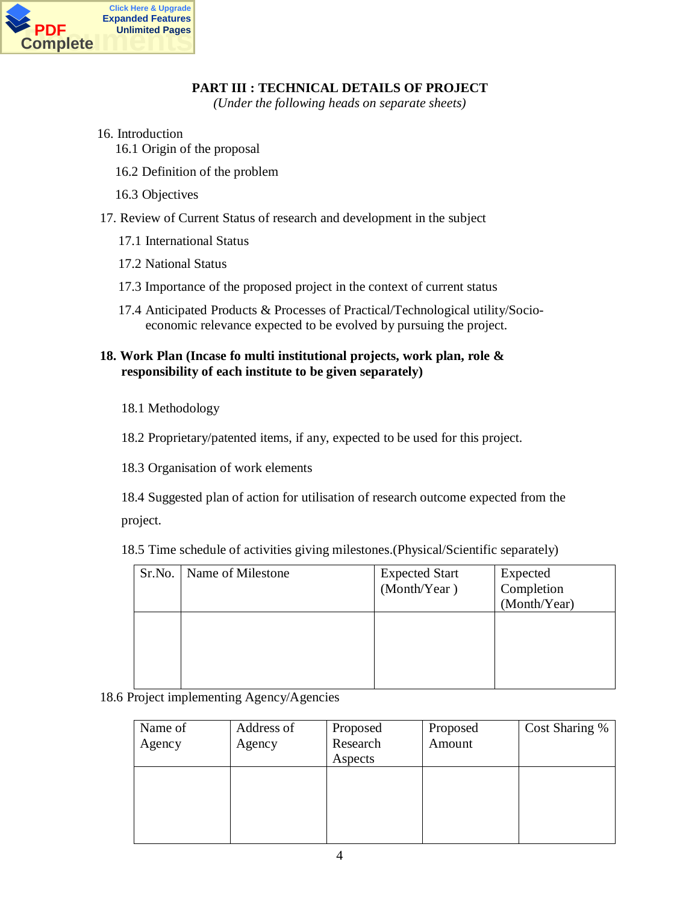

## **PART III : TECHNICAL DETAILS OF PROJECT**

*(Under the following heads on separate sheets)*

- 16. Introduction 16.1 Origin of the proposal
	- 16.2 Definition of the problem
	- 16.3 Objectives
- 17. Review of Current Status of research and development in the subject
	- 17.1 International Status
	- 17.2 National Status
	- 17.3 Importance of the proposed project in the context of current status
	- 17.4 Anticipated Products & Processes of Practical/Technological utility/Socioeconomic relevance expected to be evolved by pursuing the project.

## **18. Work Plan (Incase fo multi institutional projects, work plan, role & responsibility of each institute to be given separately)**

18.1 Methodology

18.2 Proprietary/patented items, if any, expected to be used for this project.

18.3 Organisation of work elements

18.4 Suggested plan of action for utilisation of research outcome expected from the project.

18.5 Time schedule of activities giving milestones.(Physical/Scientific separately)

| Sr.No. | Name of Milestone | <b>Expected Start</b><br>(Month/Year) | Expected<br>Completion<br>(Month/Year) |
|--------|-------------------|---------------------------------------|----------------------------------------|
|        |                   |                                       |                                        |

## 18.6 Project implementing Agency/Agencies

| Name of | Address of | Proposed | Proposed | Cost Sharing % |
|---------|------------|----------|----------|----------------|
| Agency  | Agency     | Research | Amount   |                |
|         |            | Aspects  |          |                |
|         |            |          |          |                |
|         |            |          |          |                |
|         |            |          |          |                |
|         |            |          |          |                |
|         |            |          |          |                |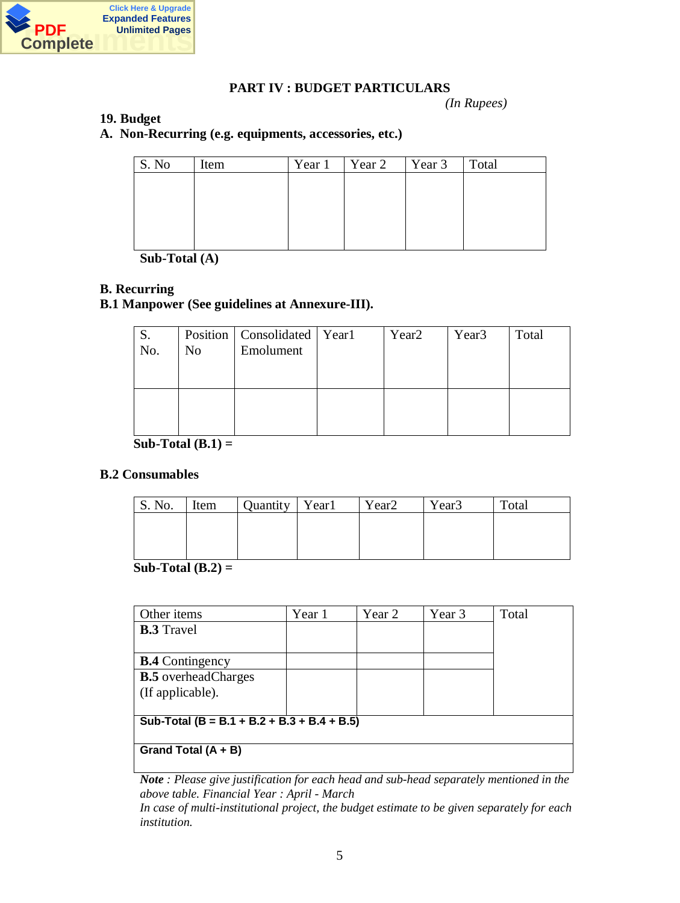

### **PART IV : BUDGET PARTICULARS**

*(In Rupees)*

### **19. Budget**

### **A. Non-Recurring (e.g. equipments, accessories, etc.)**

| S. No | Item | Year 1 | Year 2 | Year 3   Total |  |
|-------|------|--------|--------|----------------|--|
|       |      |        |        |                |  |
|       |      |        |        |                |  |
|       |      |        |        |                |  |
|       |      |        |        |                |  |
|       |      |        |        |                |  |

**Sub-Total (A)**

### **B. Recurring**

## **B.1 Manpower (See guidelines at Annexure-III).**

| S.<br>No. | N <sub>o</sub> | Position   Consolidated   Year1<br>Emolument | Year <sub>2</sub> | Year <sub>3</sub> | Total |
|-----------|----------------|----------------------------------------------|-------------------|-------------------|-------|
|           |                |                                              |                   |                   |       |

### **Sub-Total (B.1) =**

### **B.2 Consumables**

| S. No. | Item | Quantity   Year1 | Year <sub>2</sub> | Year <sub>3</sub> | Total |
|--------|------|------------------|-------------------|-------------------|-------|
|        |      |                  |                   |                   |       |
|        |      |                  |                   |                   |       |
|        |      |                  |                   |                   |       |

### **Sub-Total (B.2) =**

| Other items                                 | Year 1 | Year 2 | Year 3 | Total |
|---------------------------------------------|--------|--------|--------|-------|
| <b>B.3</b> Travel                           |        |        |        |       |
|                                             |        |        |        |       |
| <b>B.4</b> Contingency                      |        |        |        |       |
| <b>B.5</b> overheadCharges                  |        |        |        |       |
| (If applicable).                            |        |        |        |       |
|                                             |        |        |        |       |
| Sub-Total (B = B.1 + B.2 + B.3 + B.4 + B.5) |        |        |        |       |
|                                             |        |        |        |       |
| Grand Total $(A + B)$                       |        |        |        |       |
|                                             |        |        |        |       |

*Note : Please give justification for each head and sub-head separately mentioned in the above table. Financial Year : April - March*

*In case of multi-institutional project, the budget estimate to be given separately for each institution.*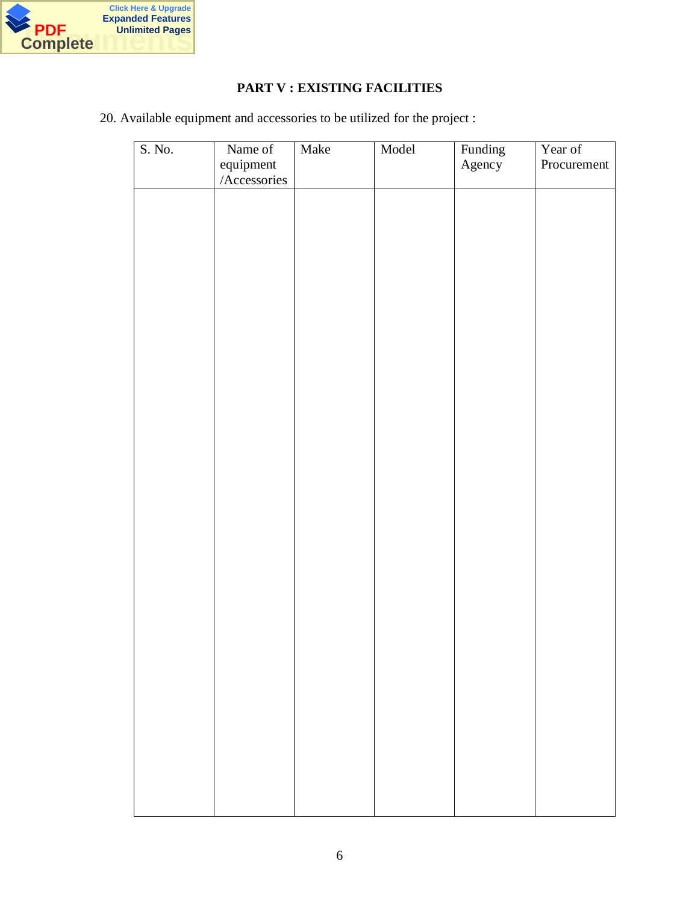

## **PART V : EXISTING FACILITIES**

20. Available equipment and accessories to be utilized for the project :

| S. No. | Name of<br>equipment | Make | Model | Funding<br>Agency | Year of<br>Procurement |
|--------|----------------------|------|-------|-------------------|------------------------|
|        | Accessories          |      |       |                   |                        |
|        |                      |      |       |                   |                        |
|        |                      |      |       |                   |                        |
|        |                      |      |       |                   |                        |
|        |                      |      |       |                   |                        |
|        |                      |      |       |                   |                        |
|        |                      |      |       |                   |                        |
|        |                      |      |       |                   |                        |
|        |                      |      |       |                   |                        |
|        |                      |      |       |                   |                        |
|        |                      |      |       |                   |                        |
|        |                      |      |       |                   |                        |
|        |                      |      |       |                   |                        |
|        |                      |      |       |                   |                        |
|        |                      |      |       |                   |                        |
|        |                      |      |       |                   |                        |
|        |                      |      |       |                   |                        |
|        |                      |      |       |                   |                        |
|        |                      |      |       |                   |                        |
|        |                      |      |       |                   |                        |
|        |                      |      |       |                   |                        |
|        |                      |      |       |                   |                        |
|        |                      |      |       |                   |                        |
|        |                      |      |       |                   |                        |
|        |                      |      |       |                   |                        |
|        |                      |      |       |                   |                        |
|        |                      |      |       |                   |                        |
|        |                      |      |       |                   |                        |
|        |                      |      |       |                   |                        |
|        |                      |      |       |                   |                        |
|        |                      |      |       |                   |                        |
|        |                      |      |       |                   |                        |
|        |                      |      |       |                   |                        |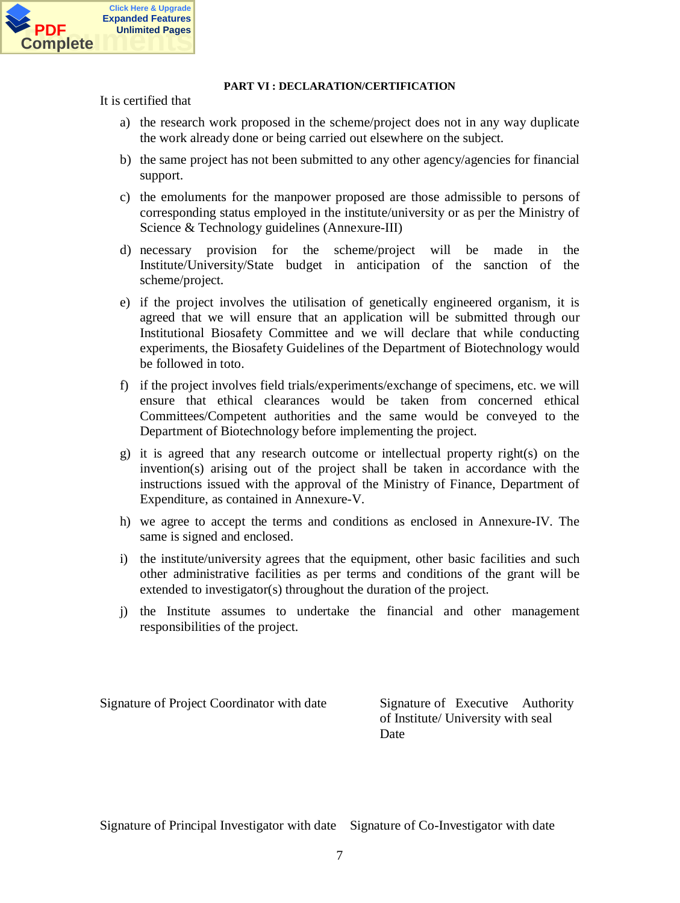

#### **PART VI : DECLARATION/CERTIFICATION**

It is certified that

- a) the research work proposed in the scheme/project does not in any way duplicate the work already done or being carried out elsewhere on the subject.
- b) the same project has not been submitted to any other agency/agencies for financial support.
- c) the emoluments for the manpower proposed are those admissible to persons of corresponding status employed in the institute/university or as per the Ministry of Science & Technology guidelines (Annexure-III)
- d) necessary provision for the scheme/project will be made in the Institute/University/State budget in anticipation of the sanction of the scheme/project.
- e) if the project involves the utilisation of genetically engineered organism, it is agreed that we will ensure that an application will be submitted through our Institutional Biosafety Committee and we will declare that while conducting experiments, the Biosafety Guidelines of the Department of Biotechnology would be followed in toto.
- f) if the project involves field trials/experiments/exchange of specimens, etc. we will ensure that ethical clearances would be taken from concerned ethical Committees/Competent authorities and the same would be conveyed to the Department of Biotechnology before implementing the project.
- g) it is agreed that any research outcome or intellectual property right(s) on the invention(s) arising out of the project shall be taken in accordance with the instructions issued with the approval of the Ministry of Finance, Department of Expenditure, as contained in Annexure-V.
- h) we agree to accept the terms and conditions as enclosed in Annexure-IV. The same is signed and enclosed.
- i) the institute/university agrees that the equipment, other basic facilities and such other administrative facilities as per terms and conditions of the grant will be extended to investigator(s) throughout the duration of the project.
- j) the Institute assumes to undertake the financial and other management responsibilities of the project.

Signature of Project Coordinator with date Signature of Executive Authority

of Institute/ University with seal **Date** 

Signature of Principal Investigator with date Signature of Co-Investigator with date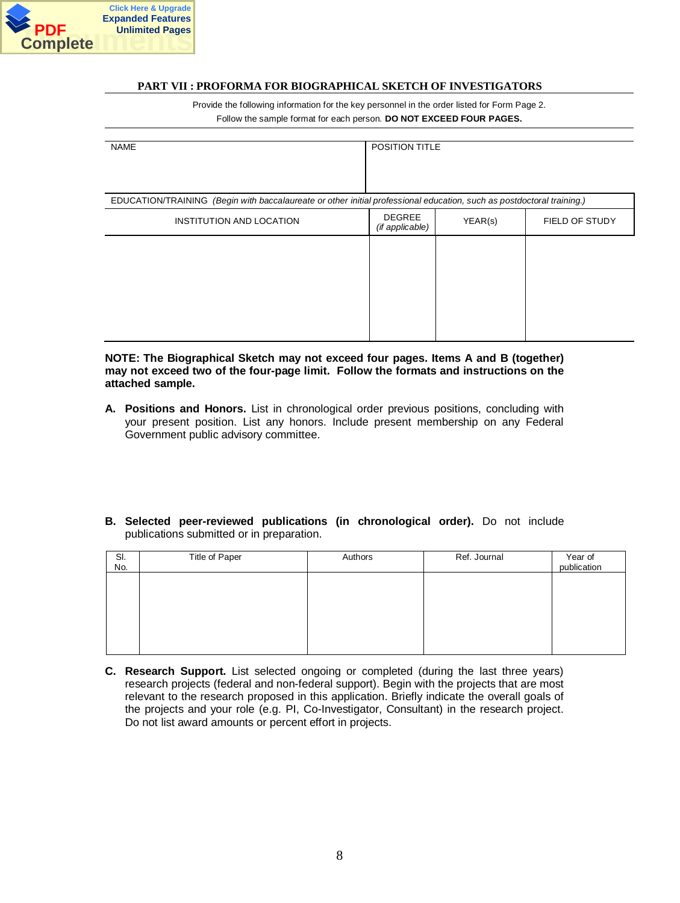

#### **PART VII : PROFORMA FOR BIOGRAPHICAL SKETCH OF INVESTIGATORS**

Provide the following information for the key personnel in the order listed for Form Page 2. Follow the sample format for each person. **DO NOT EXCEED FOUR PAGES.**

| <b>NAME</b>                                                                                                           | <b>POSITION TITLE</b>            |         |                |
|-----------------------------------------------------------------------------------------------------------------------|----------------------------------|---------|----------------|
| EDUCATION/TRAINING (Begin with baccalaureate or other initial professional education, such as postdoctoral training.) |                                  |         |                |
| INSTITUTION AND LOCATION                                                                                              | <b>DEGREE</b><br>(if applicable) | YEAR(s) | FIELD OF STUDY |
|                                                                                                                       |                                  |         |                |
|                                                                                                                       |                                  |         |                |
|                                                                                                                       |                                  |         |                |
|                                                                                                                       |                                  |         |                |

#### **NOTE: The Biographical Sketch may not exceed four pages. Items A and B (together) may not exceed two of the four-page limit. Follow the formats and instructions on the attached sample.**

- **A. Positions and Honors.** List in chronological order previous positions, concluding with your present position. List any honors. Include present membership on any Federal Government public advisory committee.
- **B. Selected peer-reviewed publications (in chronological order).** Do not include publications submitted or in preparation.

| SI.<br>No. | Title of Paper | Authors | Ref. Journal | Year of<br>publication |
|------------|----------------|---------|--------------|------------------------|
|            |                |         |              |                        |
|            |                |         |              |                        |
|            |                |         |              |                        |
|            |                |         |              |                        |

**C. Research Support.** List selected ongoing or completed (during the last three years) research projects (federal and non-federal support). Begin with the projects that are most relevant to the research proposed in this application. Briefly indicate the overall goals of the projects and your role (e.g. PI, Co-Investigator, Consultant) in the research project. Do not list award amounts or percent effort in projects.